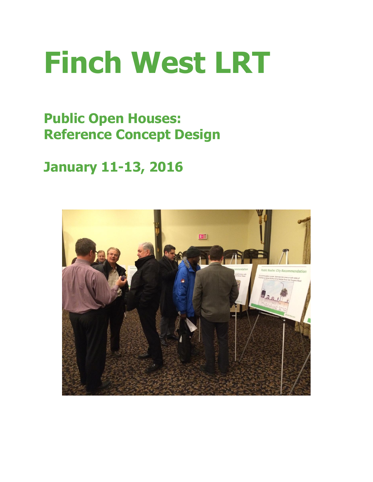# **Finch West LRT**

**Public Open Houses: Reference Concept Design**

# **January 11-13, 2016**

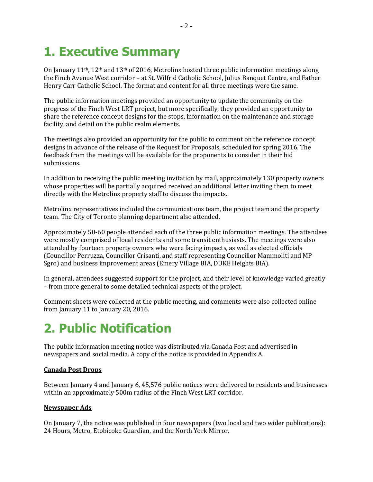# **1. Executive Summary**

On January  $11<sup>th</sup>$ ,  $12<sup>th</sup>$  and  $13<sup>th</sup>$  of 2016, Metrolinx hosted three public information meetings along the Finch Avenue West corridor – at St. Wilfrid Catholic School, Julius Banquet Centre, and Father Henry Carr Catholic School. The format and content for all three meetings were the same.

The public information meetings provided an opportunity to update the community on the progress of the Finch West LRT project, but more specifically, they provided an opportunity to share the reference concept designs for the stops, information on the maintenance and storage facility, and detail on the public realm elements.

The meetings also provided an opportunity for the public to comment on the reference concept designs in advance of the release of the Request for Proposals, scheduled for spring 2016. The feedback from the meetings will be available for the proponents to consider in their bid submissions.

In addition to receiving the public meeting invitation by mail, approximately 130 property owners whose properties will be partially acquired received an additional letter inviting them to meet directly with the Metrolinx property staff to discuss the impacts.

Metrolinx representatives included the communications team, the project team and the property team. The City of Toronto planning department also attended.

Approximately 50-60 people attended each of the three public information meetings. The attendees were mostly comprised of local residents and some transit enthusiasts. The meetings were also attended by fourteen property owners who were facing impacts, as well as elected officials (Councillor Perruzza, Councillor Crisanti, and staff representing Councillor Mammoliti and MP Sgro) and business improvement areas (Emery Village BIA, DUKE Heights BIA).

In general, attendees suggested support for the project, and their level of knowledge varied greatly – from more general to some detailed technical aspects of the project.

Comment sheets were collected at the public meeting, and comments were also collected online from January 11 to January 20, 2016.

# **2. Public Notification**

The public information meeting notice was distributed via Canada Post and advertised in newspapers and social media. A copy of the notice is provided in Appendix A.

#### **Canada Post Drops**

Between January 4 and January 6, 45,576 public notices were delivered to residents and businesses within an approximately 500m radius of the Finch West LRT corridor.

#### **Newspaper Ads**

On January 7, the notice was published in four newspapers (two local and two wider publications): 24 Hours, Metro, Etobicoke Guardian, and the North York Mirror.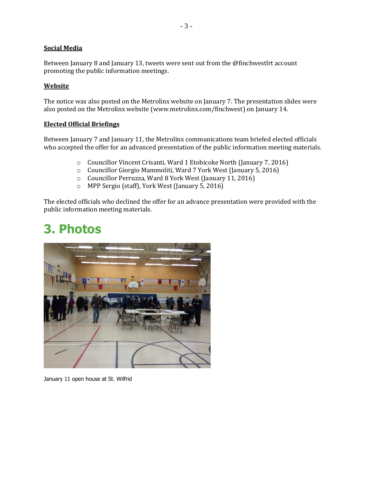#### **Social Media**

Between January 8 and January 13, tweets were sent out from the @finchwestlrt account promoting the public information meetings.

#### **Website**

The notice was also posted on the Metrolinx website on January 7. The presentation slides were also posted on the Metrolinx website (www.metrolinx.com/finchwest) on January 14.

#### **Elected Official Briefings**

Between January 7 and January 11, the Metrolinx communications team briefed elected officials who accepted the offer for an advanced presentation of the public information meeting materials.

- o Councillor Vincent Crisanti, Ward 1 Etobicoke North (January 7, 2016)
- o Councillor Giorgio Mammoliti, Ward 7 York West (January 5, 2016)
- o Councillor Perruzza, Ward 8 York West (January 11, 2016)
- o MPP Sergio (staff), York West (January 5, 2016)

The elected officials who declined the offer for an advance presentation were provided with the public information meeting materials.

# **3. Photos**



January 11 open house at St. Wilfrid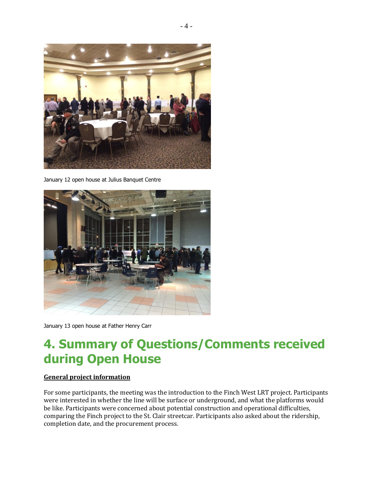

January 12 open house at Julius Banquet Centre



January 13 open house at Father Henry Carr

# **4. Summary of Questions/Comments received during Open House**

#### **General project information**

For some participants, the meeting was the introduction to the Finch West LRT project. Participants were interested in whether the line will be surface or underground, and what the platforms would be like. Participants were concerned about potential construction and operational difficulties, comparing the Finch project to the St. Clair streetcar. Participants also asked about the ridership, completion date, and the procurement process.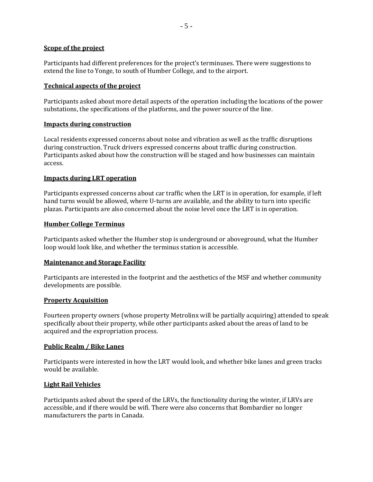#### **Scope of the project**

Participants had different preferences for the project's terminuses. There were suggestions to extend the line to Yonge, to south of Humber College, and to the airport.

#### **Technical aspects of the project**

Participants asked about more detail aspects of the operation including the locations of the power substations, the specifications of the platforms, and the power source of the line.

#### **Impacts during construction**

Local residents expressed concerns about noise and vibration as well as the traffic disruptions during construction. Truck drivers expressed concerns about traffic during construction. Participants asked about how the construction will be staged and how businesses can maintain access.

#### **Impacts during LRT operation**

Participants expressed concerns about car traffic when the LRT is in operation, for example, if left hand turns would be allowed, where U-turns are available, and the ability to turn into specific plazas. Participants are also concerned about the noise level once the LRT is in operation.

#### **Humber College Terminus**

Participants asked whether the Humber stop is underground or aboveground, what the Humber loop would look like, and whether the terminus station is accessible.

#### **Maintenance and Storage Facility**

Participants are interested in the footprint and the aesthetics of the MSF and whether community developments are possible.

#### **Property Acquisition**

Fourteen property owners (whose property Metrolinx will be partially acquiring) attended to speak specifically about their property, while other participants asked about the areas of land to be acquired and the expropriation process.

#### **Public Realm / Bike Lanes**

Participants were interested in how the LRT would look, and whether bike lanes and green tracks would be available.

#### **Light Rail Vehicles**

Participants asked about the speed of the LRVs, the functionality during the winter, if LRVs are accessible, and if there would be wifi. There were also concerns that Bombardier no longer manufacturers the parts in Canada.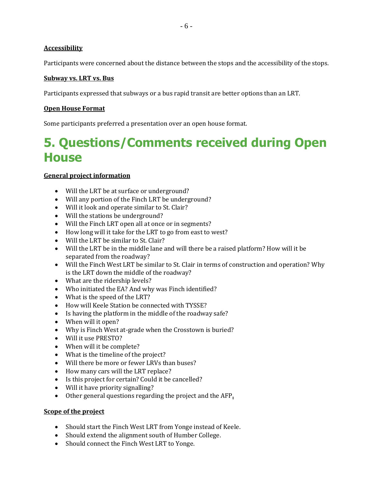#### **Accessibility**

Participants were concerned about the distance between the stops and the accessibility of the stops.

#### **Subway vs. LRT vs. Bus**

Participants expressed that subways or a bus rapid transit are better options than an LRT.

#### **Open House Format**

Some participants preferred a presentation over an open house format.

### **5. Questions/Comments received during Open House**

#### **General project information**

- Will the LRT be at surface or underground?
- Will any portion of the Finch LRT be underground?
- Will it look and operate similar to St. Clair?
- Will the stations be underground?
- Will the Finch LRT open all at once or in segments?
- How long will it take for the LRT to go from east to west?
- Will the LRT be similar to St. Clair?
- Will the LRT be in the middle lane and will there be a raised platform? How will it be separated from the roadway?
- Will the Finch West LRT be similar to St. Clair in terms of construction and operation? Why is the LRT down the middle of the roadway?
- What are the ridership levels?
- Who initiated the EA? And why was Finch identified?
- What is the speed of the LRT?
- How will Keele Station be connected with TYSSE?
- Is having the platform in the middle of the roadway safe?
- When will it open?
- Why is Finch West at-grade when the Crosstown is buried?
- Will it use PRESTO?
- When will it be complete?
- What is the timeline of the project?
- Will there be more or fewer LRVs than buses?
- How many cars will the LRT replace?
- Is this project for certain? Could it be cancelled?
- Will it have priority signalling?
- Other general questions regarding the project and the AFP**.**

#### **Scope of the project**

- Should start the Finch West LRT from Yonge instead of Keele.
- Should extend the alignment south of Humber College.
- Should connect the Finch West LRT to Yonge.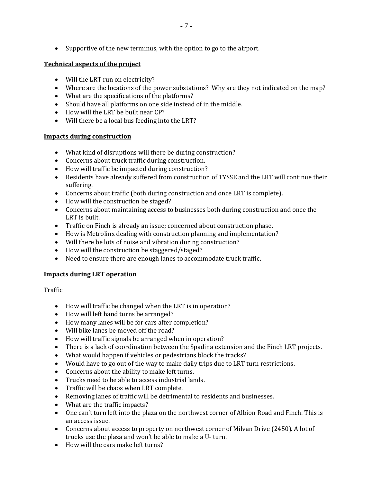Supportive of the new terminus, with the option to go to the airport.

### **Technical aspects of the project**

- Will the LRT run on electricity?
- Where are the locations of the power substations? Why are they not indicated on the map?
- What are the specifications of the platforms?
- Should have all platforms on one side instead of in the middle.
- How will the LRT be built near CP?
- Will there be a local bus feeding into the LRT?

### **Impacts during construction**

- What kind of disruptions will there be during construction?
- Concerns about truck traffic during construction.
- How will traffic be impacted during construction?
- Residents have already suffered from construction of TYSSE and the LRT will continue their suffering.
- Concerns about traffic (both during construction and once LRT is complete).
- How will the construction be staged?
- Concerns about maintaining access to businesses both during construction and once the LRT is built.
- Traffic on Finch is already an issue; concerned about construction phase.
- How is Metrolinx dealing with construction planning and implementation?
- Will there be lots of noise and vibration during construction?
- How will the construction be staggered/staged?
- Need to ensure there are enough lanes to accommodate truck traffic.

### **Impacts during LRT operation**

### Traffic

- How will traffic be changed when the LRT is in operation?
- How will left hand turns be arranged?
- How many lanes will be for cars after completion?
- Will bike lanes be moved off the road?
- How will traffic signals be arranged when in operation?
- There is a lack of coordination between the Spadina extension and the Finch LRT projects.
- What would happen if vehicles or pedestrians block the tracks?
- Would have to go out of the way to make daily trips due to LRT turn restrictions.
- Concerns about the ability to make left turns.
- Trucks need to be able to access industrial lands.
- Traffic will be chaos when LRT complete.
- Removing lanes of traffic will be detrimental to residents and businesses.
- What are the traffic impacts?
- One can't turn left into the plaza on the northwest corner of Albion Road and Finch. This is an access issue.
- Concerns about access to property on northwest corner of Milvan Drive (2450). A lot of trucks use the plaza and won't be able to make a U- turn.
- How will the cars make left turns?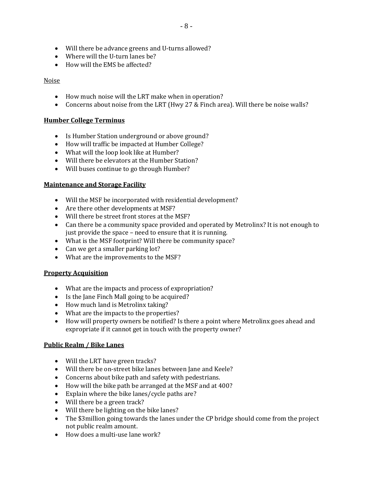- Will there be advance greens and U-turns allowed?
- Where will the U-turn lanes be?
- How will the EMS be affected?

#### Noise

- How much noise will the LRT make when in operation?
- Concerns about noise from the LRT (Hwy 27 & Finch area). Will there be noise walls?

#### **Humber College Terminus**

- Is Humber Station underground or above ground?
- How will traffic be impacted at Humber College?
- What will the loop look like at Humber?
- Will there be elevators at the Humber Station?
- Will buses continue to go through Humber?

#### **Maintenance and Storage Facility**

- Will the MSF be incorporated with residential development?
- Are there other developments at MSF?
- Will there be street front stores at the MSF?
- Can there be a community space provided and operated by Metrolinx? It is not enough to just provide the space – need to ensure that it is running.
- What is the MSF footprint? Will there be community space?
- Can we get a smaller parking lot?
- What are the improvements to the MSF?

#### **Property Acquisition**

- What are the impacts and process of expropriation?
- Is the Jane Finch Mall going to be acquired?
- How much land is Metrolinx taking?
- What are the impacts to the properties?
- How will property owners be notified? Is there a point where Metrolinx goes ahead and expropriate if it cannot get in touch with the property owner?

#### **Public Realm / Bike Lanes**

- Will the LRT have green tracks?
- Will there be on-street bike lanes between Jane and Keele?
- Concerns about bike path and safety with pedestrians.
- How will the bike path be arranged at the MSF and at 400?
- Explain where the bike lanes/cycle paths are?
- Will there be a green track?
- Will there be lighting on the bike lanes?
- The \$3million going towards the lanes under the CP bridge should come from the project not public realm amount.
- How does a multi-use lane work?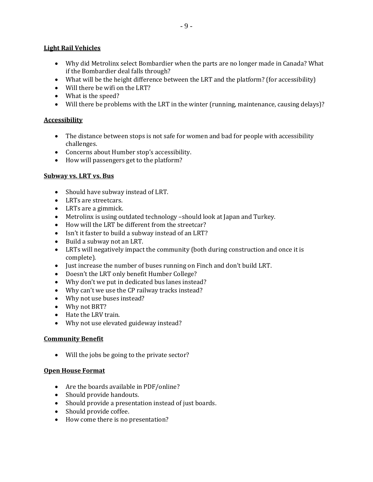#### **Light Rail Vehicles**

- Why did Metrolinx select Bombardier when the parts are no longer made in Canada? What if the Bombardier deal falls through?
- What will be the height difference between the LRT and the platform? (for accessibility)
- Will there be wifi on the LRT?
- What is the speed?
- Will there be problems with the LRT in the winter (running, maintenance, causing delays)?

#### **Accessibility**

- The distance between stops is not safe for women and bad for people with accessibility challenges.
- Concerns about Humber stop's accessibility.
- How will passengers get to the platform?

#### **Subway vs. LRT vs. Bus**

- Should have subway instead of LRT.
- LRTs are streetcars.
- LRTs are a gimmick.
- Metrolinx is using outdated technology –should look at Japan and Turkey.
- How will the LRT be different from the streetcar?
- Isn't it faster to build a subway instead of an LRT?
- Build a subway not an LRT.
- LRTs will negatively impact the community (both during construction and once it is complete).
- Just increase the number of buses running on Finch and don't build LRT.
- Doesn't the LRT only benefit Humber College?
- Why don't we put in dedicated bus lanes instead?
- Why can't we use the CP railway tracks instead?
- Why not use buses instead?
- Why not BRT?
- Hate the LRV train.
- Why not use elevated guideway instead?

#### **Community Benefit**

Will the jobs be going to the private sector?

#### **Open House Format**

- Are the boards available in PDF/online?
- Should provide handouts.
- Should provide a presentation instead of just boards.
- Should provide coffee.
- How come there is no presentation?